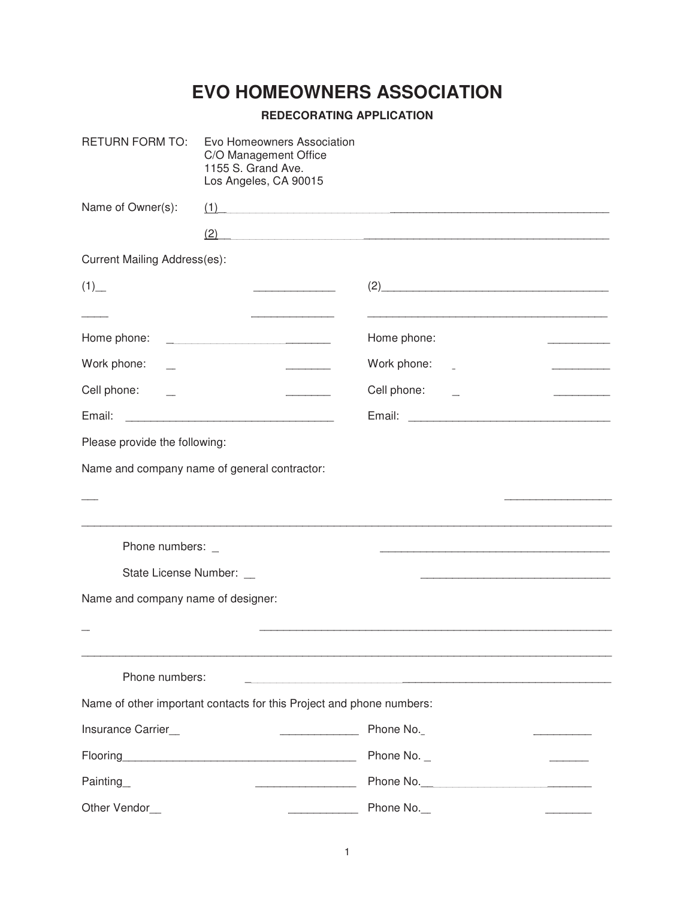## **EVO HOMEOWNERS ASSOCIATION**

## **REDECORATING APPLICATION**

| <b>RETURN FORM TO:</b>                                  | Evo Homeowners Association<br>C/O Management Office<br>1155 S. Grand Ave.<br>Los Angeles, CA 90015 |                                                                                                                                                                                                      |
|---------------------------------------------------------|----------------------------------------------------------------------------------------------------|------------------------------------------------------------------------------------------------------------------------------------------------------------------------------------------------------|
| Name of Owner(s):                                       |                                                                                                    | (1)                                                                                                                                                                                                  |
|                                                         | (2)                                                                                                |                                                                                                                                                                                                      |
| <b>Current Mailing Address(es):</b>                     |                                                                                                    |                                                                                                                                                                                                      |
| $(1)$ <sub>—</sub>                                      | <u> The Communication of the Communication</u>                                                     | (2)                                                                                                                                                                                                  |
|                                                         |                                                                                                    |                                                                                                                                                                                                      |
| Home phone:                                             |                                                                                                    | Home phone:                                                                                                                                                                                          |
| Work phone:                                             |                                                                                                    | Work phone:                                                                                                                                                                                          |
| Cell phone:                                             |                                                                                                    | Cell phone:                                                                                                                                                                                          |
| Email:                                                  |                                                                                                    |                                                                                                                                                                                                      |
| Please provide the following:                           |                                                                                                    |                                                                                                                                                                                                      |
|                                                         | Name and company name of general contractor:                                                       |                                                                                                                                                                                                      |
|                                                         |                                                                                                    | the control of the control of the control of<br>,我们也不能在这里的时候,我们也不能在这里的时候,我们也不能不能在这里的时候,我们也不能会不能会不能会不能会不能会不能会不能会。<br>第2012章 我们的时候,我们的时候,我们的时候,我们的时候,我们的时候,我们的时候,我们的时候,我们的时候,我们的时候,我们的时候,我们的时候,我们的时候,我 |
| Phone numbers: _                                        |                                                                                                    |                                                                                                                                                                                                      |
| State License Number: _                                 |                                                                                                    |                                                                                                                                                                                                      |
| Name and company name of designer:                      |                                                                                                    |                                                                                                                                                                                                      |
|                                                         |                                                                                                    |                                                                                                                                                                                                      |
| Phone numbers:                                          |                                                                                                    | <u> 1980 - Jan Barbarat, martin da shekara 1980 - An tsa a shekara 1980 - An tsa a shekara 1980 - An tsa a shekara</u>                                                                               |
|                                                         | Name of other important contacts for this Project and phone numbers:                               |                                                                                                                                                                                                      |
| Insurance Carrier                                       | $\frac{1}{2}$                                                                                      | Phone No.                                                                                                                                                                                            |
|                                                         |                                                                                                    | Phone No. $_{-}$                                                                                                                                                                                     |
| Painting                                                |                                                                                                    |                                                                                                                                                                                                      |
| Other Vendor_<br><u> 1980 - Jan Barbara, manazarta </u> |                                                                                                    | Phone No.<br>the contract of the contract of the contract of                                                                                                                                         |